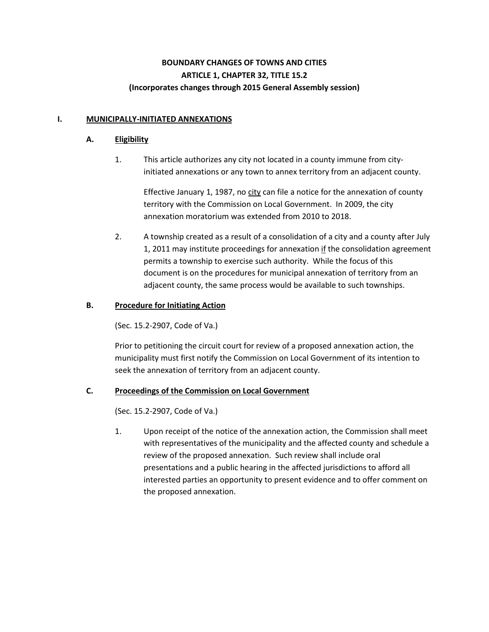# **BOUNDARY CHANGES OF TOWNS AND CITIES ARTICLE 1, CHAPTER 32, TITLE 15.2 (Incorporates changes through 2015 General Assembly session)**

### **I. MUNICIPALLY-INITIATED ANNEXATIONS**

### **A. Eligibility**

1. This article authorizes any city not located in a county immune from cityinitiated annexations or any town to annex territory from an adjacent county.

Effective January 1, 1987, no city can file a notice for the annexation of county territory with the Commission on Local Government. In 2009, the city annexation moratorium was extended from 2010 to 2018.

2. A township created as a result of a consolidation of a city and a county after July 1, 2011 may institute proceedings for annexation if the consolidation agreement permits a township to exercise such authority. While the focus of this document is on the procedures for municipal annexation of territory from an adjacent county, the same process would be available to such townships.

# **B. Procedure for Initiating Action**

(Sec. 15.2-2907, Code of Va.)

Prior to petitioning the circuit court for review of a proposed annexation action, the municipality must first notify the Commission on Local Government of its intention to seek the annexation of territory from an adjacent county.

# **C. Proceedings of the Commission on Local Government**

(Sec. 15.2-2907, Code of Va.)

1. Upon receipt of the notice of the annexation action, the Commission shall meet with representatives of the municipality and the affected county and schedule a review of the proposed annexation. Such review shall include oral presentations and a public hearing in the affected jurisdictions to afford all interested parties an opportunity to present evidence and to offer comment on the proposed annexation.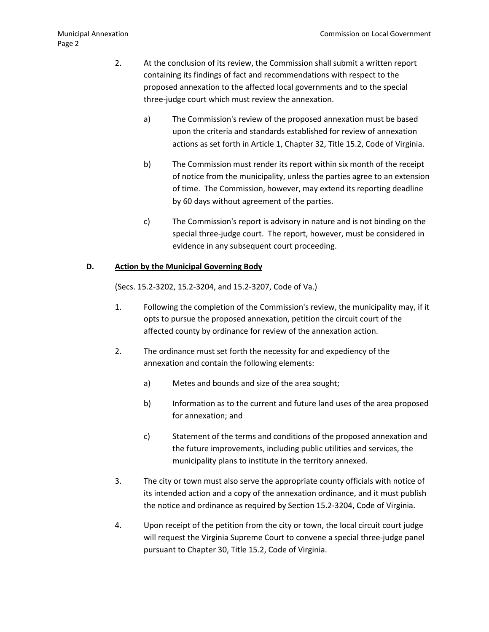- 2. At the conclusion of its review, the Commission shall submit a written report containing its findings of fact and recommendations with respect to the proposed annexation to the affected local governments and to the special three-judge court which must review the annexation.
	- a) The Commission's review of the proposed annexation must be based upon the criteria and standards established for review of annexation actions as set forth in Article 1, Chapter 32, Title 15.2, Code of Virginia.
	- b) The Commission must render its report within six month of the receipt of notice from the municipality, unless the parties agree to an extension of time. The Commission, however, may extend its reporting deadline by 60 days without agreement of the parties.
	- c) The Commission's report is advisory in nature and is not binding on the special three-judge court. The report, however, must be considered in evidence in any subsequent court proceeding.

#### **D. Action by the Municipal Governing Body**

(Secs. 15.2-3202, 15.2-3204, and 15.2-3207, Code of Va.)

- 1. Following the completion of the Commission's review, the municipality may, if it opts to pursue the proposed annexation, petition the circuit court of the affected county by ordinance for review of the annexation action.
- 2. The ordinance must set forth the necessity for and expediency of the annexation and contain the following elements:
	- a) Metes and bounds and size of the area sought;
	- b) Information as to the current and future land uses of the area proposed for annexation; and
	- c) Statement of the terms and conditions of the proposed annexation and the future improvements, including public utilities and services, the municipality plans to institute in the territory annexed.
- 3. The city or town must also serve the appropriate county officials with notice of its intended action and a copy of the annexation ordinance, and it must publish the notice and ordinance as required by Section 15.2-3204, Code of Virginia.
- 4. Upon receipt of the petition from the city or town, the local circuit court judge will request the Virginia Supreme Court to convene a special three-judge panel pursuant to Chapter 30, Title 15.2, Code of Virginia.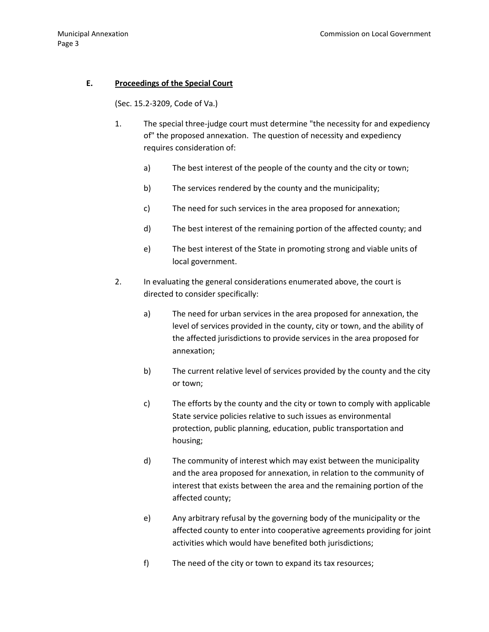### **E. Proceedings of the Special Court**

(Sec. 15.2-3209, Code of Va.)

- 1. The special three-judge court must determine "the necessity for and expediency of" the proposed annexation. The question of necessity and expediency requires consideration of:
	- a) The best interest of the people of the county and the city or town;
	- b) The services rendered by the county and the municipality;
	- c) The need for such services in the area proposed for annexation;
	- d) The best interest of the remaining portion of the affected county; and
	- e) The best interest of the State in promoting strong and viable units of local government.
- 2. In evaluating the general considerations enumerated above, the court is directed to consider specifically:
	- a) The need for urban services in the area proposed for annexation, the level of services provided in the county, city or town, and the ability of the affected jurisdictions to provide services in the area proposed for annexation;
	- b) The current relative level of services provided by the county and the city or town;
	- c) The efforts by the county and the city or town to comply with applicable State service policies relative to such issues as environmental protection, public planning, education, public transportation and housing;
	- d) The community of interest which may exist between the municipality and the area proposed for annexation, in relation to the community of interest that exists between the area and the remaining portion of the affected county;
	- e) Any arbitrary refusal by the governing body of the municipality or the affected county to enter into cooperative agreements providing for joint activities which would have benefited both jurisdictions;
	- f) The need of the city or town to expand its tax resources;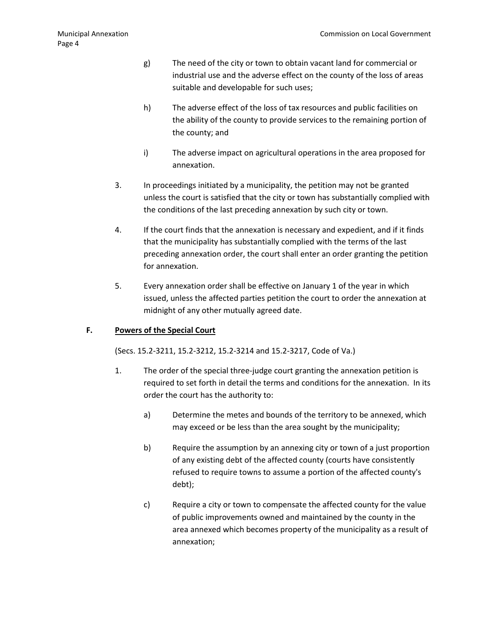- g) The need of the city or town to obtain vacant land for commercial or industrial use and the adverse effect on the county of the loss of areas suitable and developable for such uses;
- h) The adverse effect of the loss of tax resources and public facilities on the ability of the county to provide services to the remaining portion of the county; and
- i) The adverse impact on agricultural operations in the area proposed for annexation.
- 3. In proceedings initiated by a municipality, the petition may not be granted unless the court is satisfied that the city or town has substantially complied with the conditions of the last preceding annexation by such city or town.
- 4. If the court finds that the annexation is necessary and expedient, and if it finds that the municipality has substantially complied with the terms of the last preceding annexation order, the court shall enter an order granting the petition for annexation.
- 5. Every annexation order shall be effective on January 1 of the year in which issued, unless the affected parties petition the court to order the annexation at midnight of any other mutually agreed date.

### **F. Powers of the Special Court**

(Secs. 15.2-3211, 15.2-3212, 15.2-3214 and 15.2-3217, Code of Va.)

- 1. The order of the special three-judge court granting the annexation petition is required to set forth in detail the terms and conditions for the annexation. In its order the court has the authority to:
	- a) Determine the metes and bounds of the territory to be annexed, which may exceed or be less than the area sought by the municipality;
	- b) Require the assumption by an annexing city or town of a just proportion of any existing debt of the affected county (courts have consistently refused to require towns to assume a portion of the affected county's debt);
	- c) Require a city or town to compensate the affected county for the value of public improvements owned and maintained by the county in the area annexed which becomes property of the municipality as a result of annexation;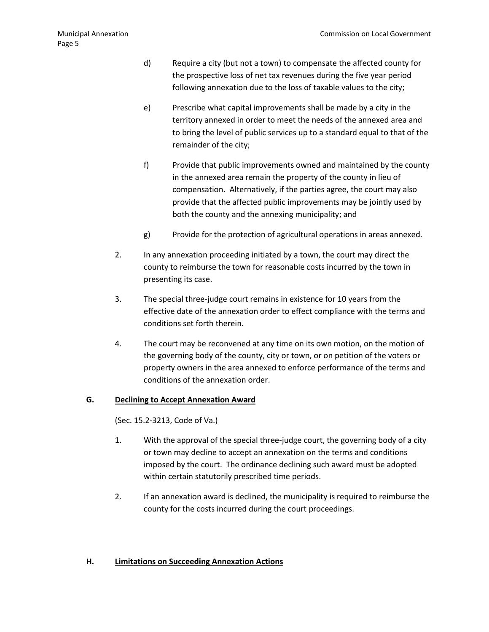- d) Require a city (but not a town) to compensate the affected county for the prospective loss of net tax revenues during the five year period following annexation due to the loss of taxable values to the city;
- e) Prescribe what capital improvements shall be made by a city in the territory annexed in order to meet the needs of the annexed area and to bring the level of public services up to a standard equal to that of the remainder of the city;
- f) Provide that public improvements owned and maintained by the county in the annexed area remain the property of the county in lieu of compensation. Alternatively, if the parties agree, the court may also provide that the affected public improvements may be jointly used by both the county and the annexing municipality; and
- g) Provide for the protection of agricultural operations in areas annexed.
- 2. In any annexation proceeding initiated by a town, the court may direct the county to reimburse the town for reasonable costs incurred by the town in presenting its case.
- 3. The special three-judge court remains in existence for 10 years from the effective date of the annexation order to effect compliance with the terms and conditions set forth therein.
- 4. The court may be reconvened at any time on its own motion, on the motion of the governing body of the county, city or town, or on petition of the voters or property owners in the area annexed to enforce performance of the terms and conditions of the annexation order.

# **G. Declining to Accept Annexation Award**

(Sec. 15.2-3213, Code of Va.)

- 1. With the approval of the special three-judge court, the governing body of a city or town may decline to accept an annexation on the terms and conditions imposed by the court. The ordinance declining such award must be adopted within certain statutorily prescribed time periods.
- 2. If an annexation award is declined, the municipality is required to reimburse the county for the costs incurred during the court proceedings.

### **H. Limitations on Succeeding Annexation Actions**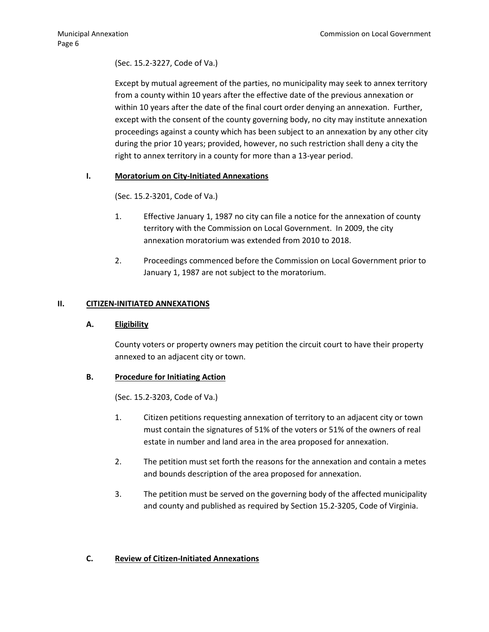# (Sec. 15.2-3227, Code of Va.)

Except by mutual agreement of the parties, no municipality may seek to annex territory from a county within 10 years after the effective date of the previous annexation or within 10 years after the date of the final court order denying an annexation. Further, except with the consent of the county governing body, no city may institute annexation proceedings against a county which has been subject to an annexation by any other city during the prior 10 years; provided, however, no such restriction shall deny a city the right to annex territory in a county for more than a 13-year period.

### **I. Moratorium on City-Initiated Annexations**

(Sec. 15.2-3201, Code of Va.)

- 1. Effective January 1, 1987 no city can file a notice for the annexation of county territory with the Commission on Local Government. In 2009, the city annexation moratorium was extended from 2010 to 2018.
- 2. Proceedings commenced before the Commission on Local Government prior to January 1, 1987 are not subject to the moratorium.

### **II. CITIZEN-INITIATED ANNEXATIONS**

### **A. Eligibility**

County voters or property owners may petition the circuit court to have their property annexed to an adjacent city or town.

# **B. Procedure for Initiating Action**

(Sec. 15.2-3203, Code of Va.)

- 1. Citizen petitions requesting annexation of territory to an adjacent city or town must contain the signatures of 51% of the voters or 51% of the owners of real estate in number and land area in the area proposed for annexation.
- 2. The petition must set forth the reasons for the annexation and contain a metes and bounds description of the area proposed for annexation.
- 3. The petition must be served on the governing body of the affected municipality and county and published as required by Section 15.2-3205, Code of Virginia.

# **C. Review of Citizen-Initiated Annexations**